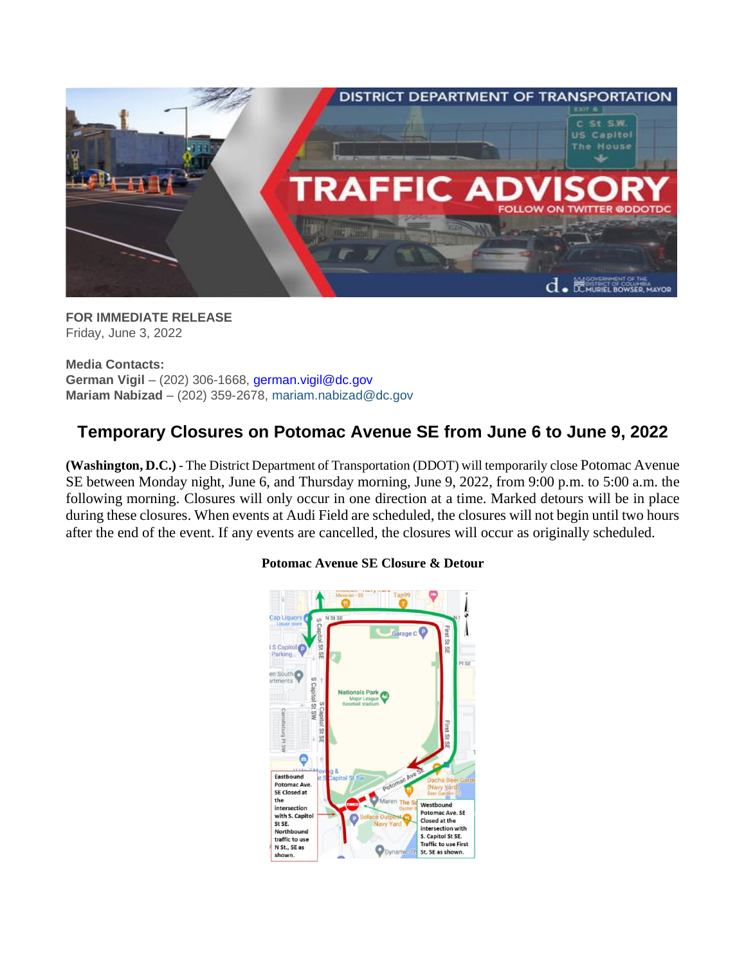

**FOR IMMEDIATE RELEASE** Friday, June 3, 2022

**Media Contacts: German Vigil** – (202) 306-1668, [german.vigil@dc.gov](mailto:german.vigil@dc.gov) **Mariam Nabizad** – (202) 359-2678, [mariam.nabizad@dc.gov](mailto:mariam.nabizad@dc.gov)

## **Temporary Closures on Potomac Avenue SE from June 6 to June 9, 2022**

**(Washington, D.C.)** - The District Department of Transportation (DDOT) will temporarily close Potomac Avenue SE between Monday night, June 6, and Thursday morning, June 9, 2022, from 9:00 p.m. to 5:00 a.m. the following morning. Closures will only occur in one direction at a time. Marked detours will be in place during these closures. When events at Audi Field are scheduled, the closures will not begin until two hours after the end of the event. If any events are cancelled, the closures will occur as originally scheduled.



## **Potomac Avenue SE Closure & Detour**